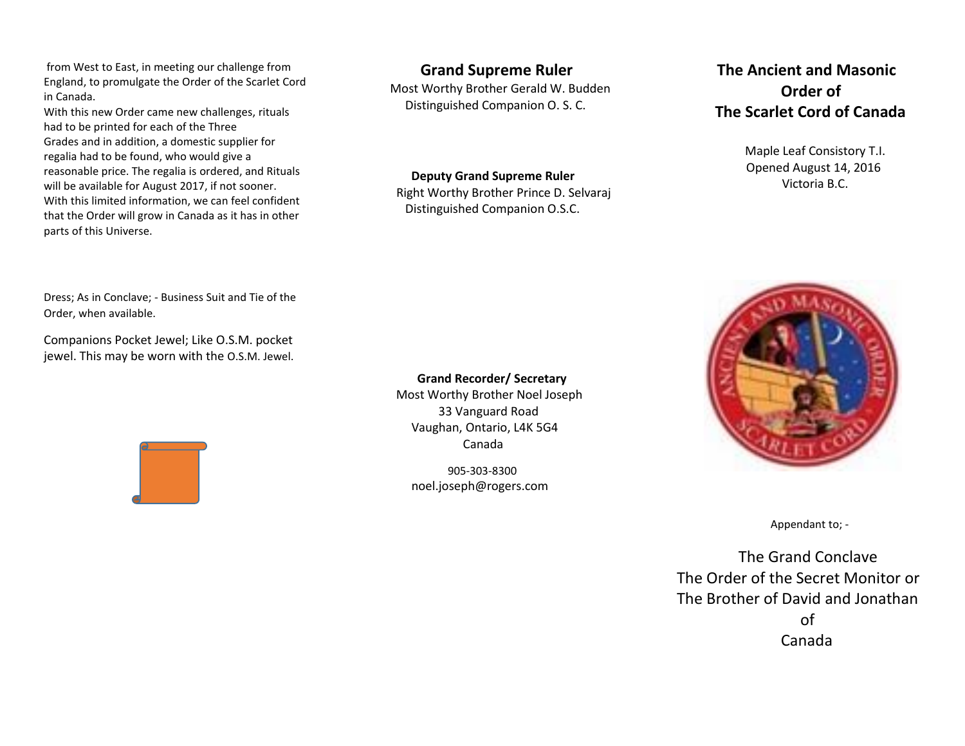from West to East, in meeting our challenge from England, to promulgate the Order of the Scarlet Cord in Canada.

With this new Order came new challenges, rituals had to be printed for each of the Three Grades and in addition, a domestic supplier for regalia had to be found, who would give a reasonable price. The regalia is ordered, and Rituals will be available for August 2017, if not sooner. With this limited information, we can feel confident that the Order will grow in Canada as it has in other parts of this Universe.

**Grand Supreme Ruler**

 Most Worthy Brother Gerald W. Budden Distinguished Companion O. S. C.

**Deputy Grand Supreme Ruler**

 Right Worthy Brother Prince D. Selvaraj Distinguished Companion O.S.C.

## **The Ancient and Masonic Order of The Scarlet Cord of Canada**

 Maple Leaf Consistory T.I. Opened August 14, 2016 Victoria B.C.



Appendant to; -

 The Grand Conclave The Order of the Secret Monitor or The Brother of David and Jonathan of the contract of the contract of the contract of the contract of the contract of the contract of the contract of the contract of the contract of the contract of the contract of the contract of the contract of the contrac Canada

Dress; As in Conclave; - Business Suit and Tie of the Order, when available.

Companions Pocket Jewel; Like O.S.M. pocket jewel. This may be worn with the O.S.M. Jewel.



 **Grand Recorder/ Secretary** Most Worthy Brother Noel Joseph 33 Vanguard Road Vaughan, Ontario, L4K 5G4 Canada

 905-303-8300 noel.joseph@rogers.com